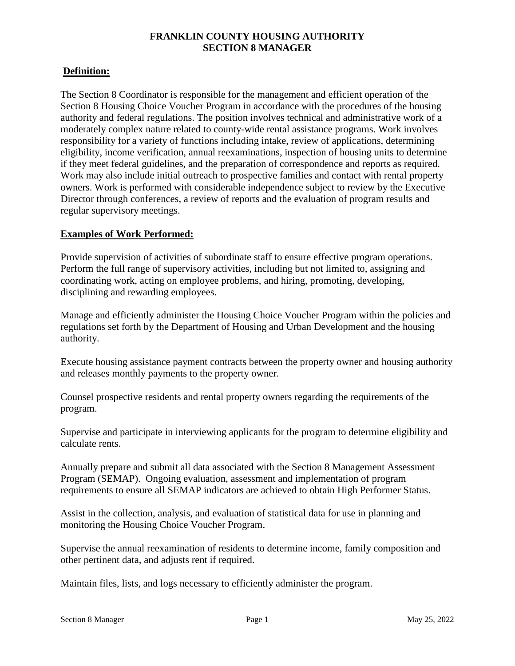# **FRANKLIN COUNTY HOUSING AUTHORITY SECTION 8 MANAGER**

# **Definition:**

The Section 8 Coordinator is responsible for the management and efficient operation of the Section 8 Housing Choice Voucher Program in accordance with the procedures of the housing authority and federal regulations. The position involves technical and administrative work of a moderately complex nature related to county-wide rental assistance programs. Work involves responsibility for a variety of functions including intake, review of applications, determining eligibility, income verification, annual reexaminations, inspection of housing units to determine if they meet federal guidelines, and the preparation of correspondence and reports as required. Work may also include initial outreach to prospective families and contact with rental property owners. Work is performed with considerable independence subject to review by the Executive Director through conferences, a review of reports and the evaluation of program results and regular supervisory meetings.

### **Examples of Work Performed:**

Provide supervision of activities of subordinate staff to ensure effective program operations. Perform the full range of supervisory activities, including but not limited to, assigning and coordinating work, acting on employee problems, and hiring, promoting, developing, disciplining and rewarding employees.

Manage and efficiently administer the Housing Choice Voucher Program within the policies and regulations set forth by the Department of Housing and Urban Development and the housing authority.

Execute housing assistance payment contracts between the property owner and housing authority and releases monthly payments to the property owner.

Counsel prospective residents and rental property owners regarding the requirements of the program.

Supervise and participate in interviewing applicants for the program to determine eligibility and calculate rents.

Annually prepare and submit all data associated with the Section 8 Management Assessment Program (SEMAP). Ongoing evaluation, assessment and implementation of program requirements to ensure all SEMAP indicators are achieved to obtain High Performer Status.

Assist in the collection, analysis, and evaluation of statistical data for use in planning and monitoring the Housing Choice Voucher Program.

Supervise the annual reexamination of residents to determine income, family composition and other pertinent data, and adjusts rent if required.

Maintain files, lists, and logs necessary to efficiently administer the program.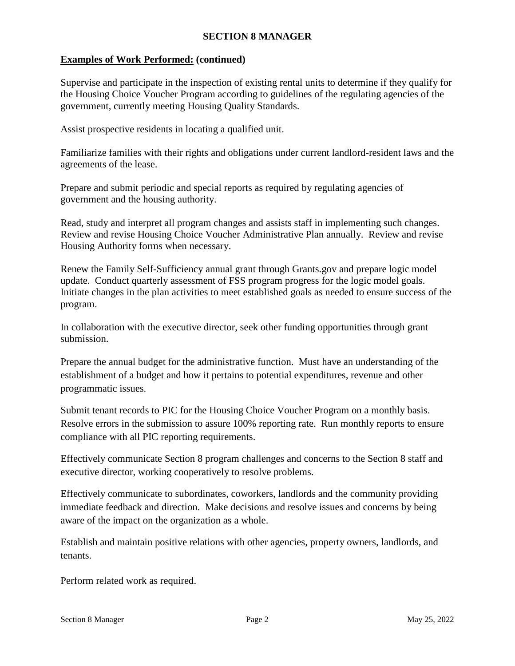# **SECTION 8 MANAGER**

# **Examples of Work Performed: (continued)**

Supervise and participate in the inspection of existing rental units to determine if they qualify for the Housing Choice Voucher Program according to guidelines of the regulating agencies of the government, currently meeting Housing Quality Standards.

Assist prospective residents in locating a qualified unit.

Familiarize families with their rights and obligations under current landlord-resident laws and the agreements of the lease.

Prepare and submit periodic and special reports as required by regulating agencies of government and the housing authority.

Read, study and interpret all program changes and assists staff in implementing such changes. Review and revise Housing Choice Voucher Administrative Plan annually. Review and revise Housing Authority forms when necessary.

Renew the Family Self-Sufficiency annual grant through Grants.gov and prepare logic model update. Conduct quarterly assessment of FSS program progress for the logic model goals. Initiate changes in the plan activities to meet established goals as needed to ensure success of the program.

In collaboration with the executive director, seek other funding opportunities through grant submission.

Prepare the annual budget for the administrative function. Must have an understanding of the establishment of a budget and how it pertains to potential expenditures, revenue and other programmatic issues.

Submit tenant records to PIC for the Housing Choice Voucher Program on a monthly basis. Resolve errors in the submission to assure 100% reporting rate. Run monthly reports to ensure compliance with all PIC reporting requirements.

Effectively communicate Section 8 program challenges and concerns to the Section 8 staff and executive director, working cooperatively to resolve problems.

Effectively communicate to subordinates, coworkers, landlords and the community providing immediate feedback and direction. Make decisions and resolve issues and concerns by being aware of the impact on the organization as a whole.

Establish and maintain positive relations with other agencies, property owners, landlords, and tenants.

Perform related work as required.